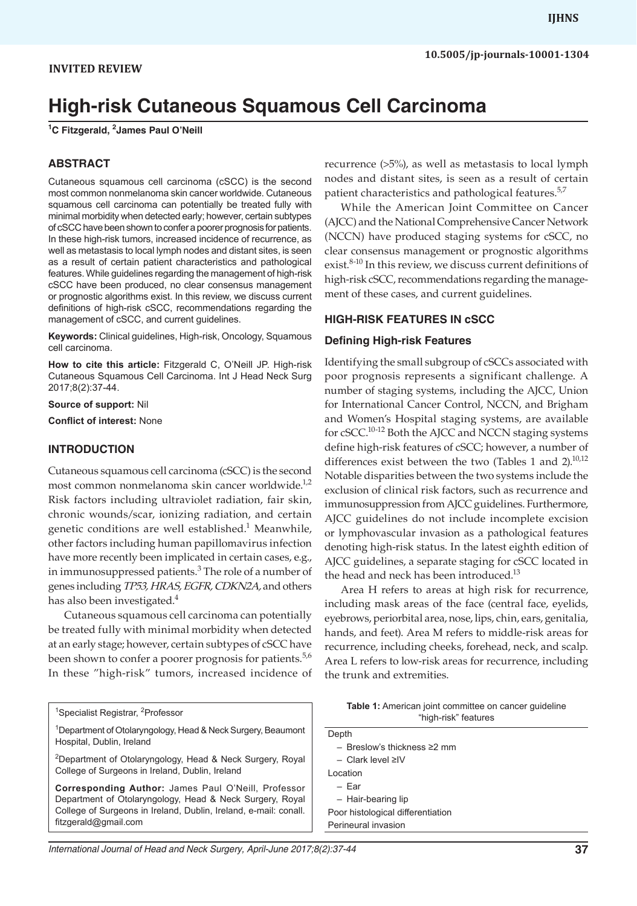# **High-risk Cutaneous Squamous Cell Carcinoma**

**1 C Fitzgerald, 2 James Paul O'Neill**

#### **ABSTRACT**

Cutaneous squamous cell carcinoma (cSCC) is the second most common nonmelanoma skin cancer worldwide. Cutaneous squamous cell carcinoma can potentially be treated fully with minimal morbidity when detected early; however, certain subtypes of cSCC have been shown to confer a poorer prognosis for patients. In these high-risk tumors, increased incidence of recurrence, as well as metastasis to local lymph nodes and distant sites, is seen as a result of certain patient characteristics and pathological features. While guidelines regarding the management of high-risk cSCC have been produced, no clear consensus management or prognostic algorithms exist. In this review, we discuss current definitions of high-risk cSCC, recommendations regarding the management of cSCC, and current guidelines.

**Keywords:** Clinical guidelines, High-risk, Oncology, Squamous cell carcinoma.

**How to cite this article:** Fitzgerald C, O'Neill JP. High-risk Cutaneous Squamous Cell Carcinoma. Int J Head Neck Surg 2017;8(2):37-44.

**Source of support:** Nil

**Conflict of interest:** None

#### **INTRODUCTION**

Cutaneous squamous cell carcinoma (cSCC) is the second most common nonmelanoma skin cancer worldwide.<sup>1,2</sup> Risk factors including ultraviolet radiation, fair skin, chronic wounds/scar, ionizing radiation, and certain genetic conditions are well established.<sup>1</sup> Meanwhile, other factors including human papillomavirus infection have more recently been implicated in certain cases, e.g., in immunosuppressed patients.<sup>3</sup> The role of a number of genes including *TP53, HRAS, EGFR, CDKN2A,* and others has also been investigated.<sup>4</sup>

Cutaneous squamous cell carcinoma can potentially be treated fully with minimal morbidity when detected at an early stage; however, certain subtypes of cSCC have been shown to confer a poorer prognosis for patients.<sup>5,6</sup> In these "high-risk" tumors, increased incidence of

<sup>1</sup>Specialist Registrar, <sup>2</sup>Professor

<sup>1</sup>Department of Otolaryngology, Head & Neck Surgery, Beaumont Hospital, Dublin, Ireland

<sup>2</sup>Department of Otolaryngology, Head & Neck Surgery, Royal College of Surgeons in Ireland, Dublin, Ireland

**Corresponding Author:** James Paul O'Neill, Professor Department of Otolaryngology, Head & Neck Surgery, Royal College of Surgeons in Ireland, Dublin, Ireland, e-mail: conall. fitzgerald@gmail.com

recurrence (>5%), as well as metastasis to local lymph nodes and distant sites, is seen as a result of certain patient characteristics and pathological features.<sup>5,7</sup>

While the American Joint Committee on Cancer (AJCC) and the National Comprehensive Cancer Network (NCCN) have produced staging systems for cSCC, no clear consensus management or prognostic algorithms exist.<sup>8-10</sup> In this review, we discuss current definitions of high-risk cSCC, recommendations regarding the management of these cases, and current guidelines.

#### **HIGH-RISK FEATURES IN cSCC**

#### **Defining High-risk Features**

Identifying the small subgroup of cSCCs associated with poor prognosis represents a significant challenge. A number of staging systems, including the AJCC, Union for International Cancer Control, NCCN, and Brigham and Women's Hospital staging systems, are available for cSCC.10-12 Both the AJCC and NCCN staging systems define high-risk features of cSCC; however, a number of differences exist between the two (Tables 1 and 2). $10,12$ Notable disparities between the two systems include the exclusion of clinical risk factors, such as recurrence and immunosuppression from AJCC guidelines. Furthermore, AJCC guidelines do not include incomplete excision or lymphovascular invasion as a pathological features denoting high-risk status. In the latest eighth edition of AJCC guidelines, a separate staging for cSCC located in the head and neck has been introduced.<sup>13</sup>

Area H refers to areas at high risk for recurrence, including mask areas of the face (central face, eyelids, eyebrows, periorbital area, nose, lips, chin, ears, genitalia, hands, and feet). Area M refers to middle-risk areas for recurrence, including cheeks, forehead, neck, and scalp. Area L refers to low-risk areas for recurrence, including the trunk and extremities.

| <b>Table 1:</b> American joint committee on cancer quideline |
|--------------------------------------------------------------|
| "high-risk" features                                         |

| Depth                               |
|-------------------------------------|
| $-$ Breslow's thickness $\geq 2$ mm |
| $-$ Clark level $\geq$ IV           |
| Location                            |
| $- Far$                             |
| - Hair-bearing lip                  |
| Poor histological differentiation   |
| Perineural invasion                 |
|                                     |

*International Journal of Head and Neck Surgery, April-June 2017;8(2):37-44* **37**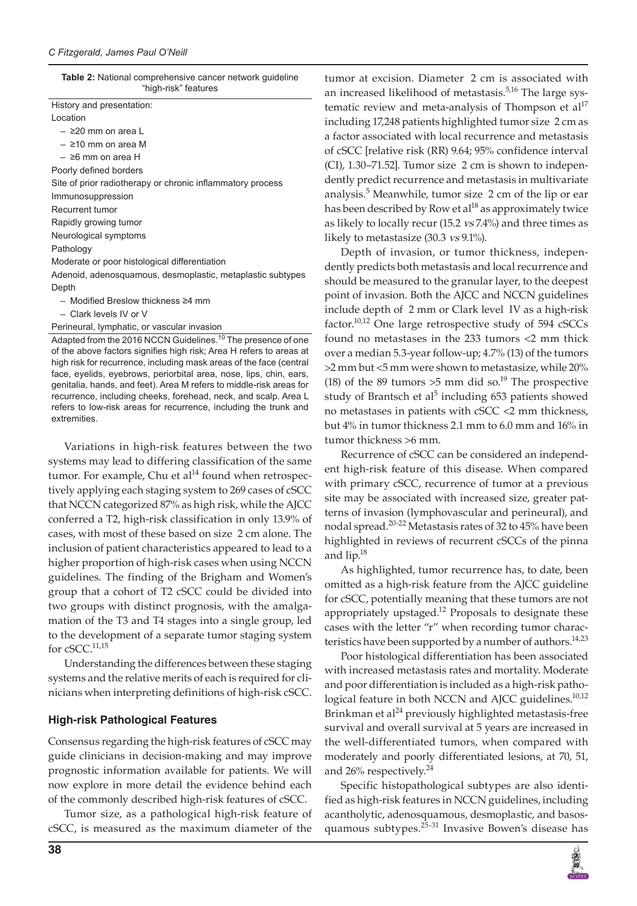| <b>Table 2:</b> National comprehensive cancer network guideline |
|-----------------------------------------------------------------|
| "high-risk" features                                            |

| History and presentation:                                  |
|------------------------------------------------------------|
| Location                                                   |
| $-$ 220 mm on area L                                       |
| $-$ 210 mm on area M                                       |
| $ \geq$ 6 mm on area H                                     |
| Poorly defined borders                                     |
| Site of prior radiotherapy or chronic inflammatory process |
| Immunosuppression                                          |
| Recurrent tumor                                            |
| Rapidly growing tumor                                      |
| Neurological symptoms                                      |
| Pathology                                                  |
| Moderate or poor histological differentiation              |
| Adenoid, adenosquamous, desmoplastic, metaplastic subtypes |
| Depth                                                      |
| $-$ Modified Breslow thickness $\geq 4$ mm                 |
|                                                            |

– Clark levels IV or V

#### Perineural, lymphatic, or vascular invasion

Adapted from the 2016 NCCN Guidelines.<sup>10</sup> The presence of one of the above factors signifies high risk; Area H refers to areas at high risk for recurrence, including mask areas of the face (central face, eyelids, eyebrows, periorbital area, nose, lips, chin, ears, genitalia, hands, and feet). Area M refers to middle-risk areas for recurrence, including cheeks, forehead, neck, and scalp. Area L refers to low-risk areas for recurrence, including the trunk and extremities.

Variations in high-risk features between the two systems may lead to differing classification of the same tumor. For example, Chu et  $al^{14}$  found when retrospectively applying each staging system to 269 cases of cSCC that NCCN categorized 87% as high risk, while the AJCC conferred a T2, high-risk classification in only 13.9% of cases, with most of these based on size 2 cm alone. The inclusion of patient characteristics appeared to lead to a higher proportion of high-risk cases when using NCCN guidelines. The finding of the Brigham and Women's group that a cohort of T2 cSCC could be divided into two groups with distinct prognosis, with the amalgamation of the T3 and T4 stages into a single group, led to the development of a separate tumor staging system for cSCC. $11,15$ 

Understanding the differences between these staging systems and the relative merits of each is required for clinicians when interpreting definitions of high-risk cSCC.

#### **High-risk Pathological Features**

Consensus regarding the high-risk features of cSCC may guide clinicians in decision-making and may improve prognostic information available for patients. We will now explore in more detail the evidence behind each of the commonly described high-risk features of cSCC.

Tumor size, as a pathological high-risk feature of cSCC, is measured as the maximum diameter of the

tumor at excision. Diameter 2 cm is associated with an increased likelihood of metastasis.<sup>5,16</sup> The large systematic review and meta-analysis of Thompson et  $al^{17}$ including 17,248 patients highlighted tumor size 2 cm as a factor associated with local recurrence and metastasis of cSCC [relative risk (RR) 9.64; 95% confidence interval  $(CI)$ , 1.30–71.52]. Tumor size 2 cm is shown to independently predict recurrence and metastasis in multivariate analysis.<sup>5</sup> Meanwhile, tumor size 2 cm of the lip or ear has been described by Row et  $al^{18}$  as approximately twice as likely to locally recur (15.2 *vs* 7.4%) and three times as likely to metastasize (30.3 *vs* 9.1%).

Depth of invasion, or tumor thickness, independently predicts both metastasis and local recurrence and should be measured to the granular layer, to the deepest point of invasion. Both the AJCC and NCCN guidelines include depth of 2 mm or Clark level IV as a high-risk factor.<sup>10,12</sup> One large retrospective study of  $594$  cSCCs found no metastases in the 233 tumors <2 mm thick over a median 5.3-year follow-up; 4.7% (13) of the tumors >2 mm but <5 mm were shown to metastasize, while 20% (18) of the 89 tumors  $>5$  mm did so.<sup>19</sup> The prospective study of Brantsch et al<sup>5</sup> including 653 patients showed no metastases in patients with cSCC <2 mm thickness, but 4% in tumor thickness 2.1 mm to 6.0 mm and 16% in tumor thickness >6 mm.

Recurrence of cSCC can be considered an independent high-risk feature of this disease. When compared with primary cSCC, recurrence of tumor at a previous site may be associated with increased size, greater patterns of invasion (lymphovascular and perineural), and nodal spread.<sup>20-22</sup> Metastasis rates of 32 to 45% have been highlighted in reviews of recurrent cSCCs of the pinna and lip.18

As highlighted, tumor recurrence has, to date, been omitted as a high-risk feature from the AJCC guideline for cSCC, potentially meaning that these tumors are not appropriately upstaged.<sup>12</sup> Proposals to designate these cases with the letter "r" when recording tumor characteristics have been supported by a number of authors. $14,23$ 

Poor histological differentiation has been associated with increased metastasis rates and mortality. Moderate and poor differentiation is included as a high-risk pathological feature in both NCCN and AJCC guidelines.<sup>10,12</sup> Brinkman et al<sup>24</sup> previously highlighted metastasis-free survival and overall survival at 5 years are increased in the well-differentiated tumors, when compared with moderately and poorly differentiated lesions, at 70, 51, and 26% respectively.<sup>24</sup>

Specific histopathological subtypes are also identified as high-risk features in NCCN guidelines, including acantholytic, adenosquamous, desmoplastic, and basosquamous subtypes.<sup>25-31</sup> Invasive Bowen's disease has

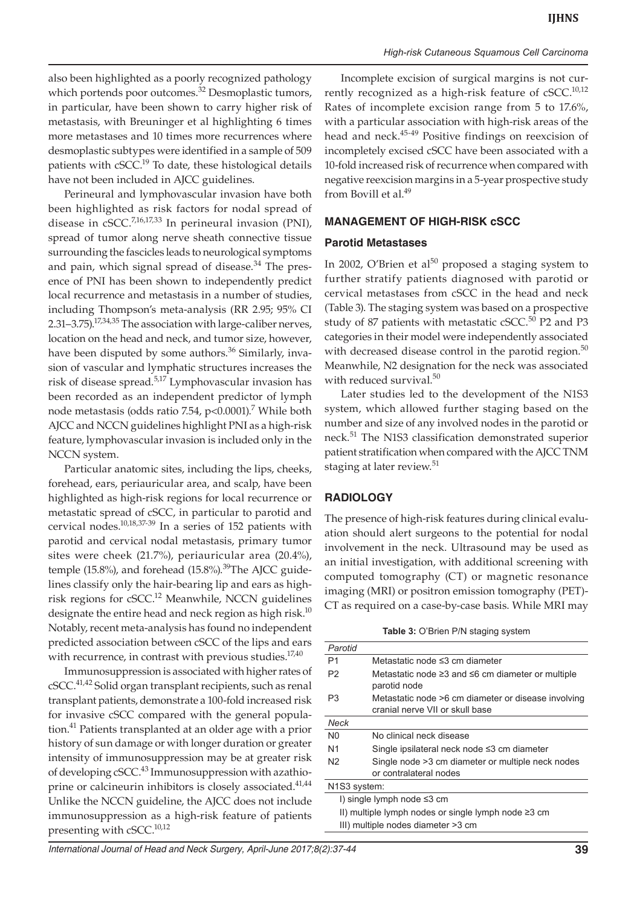also been highlighted as a poorly recognized pathology which portends poor outcomes.<sup>32</sup> Desmoplastic tumors, in particular, have been shown to carry higher risk of metastasis, with Breuninger et al highlighting 6 times more metastases and 10 times more recurrences where desmoplastic subtypes were identified in a sample of 509 patients with cSCC.<sup>19</sup> To date, these histological details have not been included in AJCC guidelines.

Perineural and lymphovascular invasion have both been highlighted as risk factors for nodal spread of disease in cSCC.7,16,17,33 In perineural invasion (PNI), spread of tumor along nerve sheath connective tissue surrounding the fascicles leads to neurological symptoms and pain, which signal spread of disease.<sup>34</sup> The presence of PNI has been shown to independently predict local recurrence and metastasis in a number of studies, including Thompson's meta-analysis (RR 2.95; 95% CI 2.31–3.75).17,34,35 The association with large-caliber nerves, location on the head and neck, and tumor size, however, have been disputed by some authors.<sup>36</sup> Similarly, invasion of vascular and lymphatic structures increases the risk of disease spread.5,17 Lymphovascular invasion has been recorded as an independent predictor of lymph node metastasis (odds ratio 7.54, p<0.0001).<sup>7</sup> While both AJCC and NCCN guidelines highlight PNI as a high-risk feature, lymphovascular invasion is included only in the NCCN system.

Particular anatomic sites, including the lips, cheeks, forehead, ears, periauricular area, and scalp, have been highlighted as high-risk regions for local recurrence or metastatic spread of cSCC, in particular to parotid and cervical nodes.10,18,37-39 In a series of 152 patients with parotid and cervical nodal metastasis, primary tumor sites were cheek (21.7%), periauricular area (20.4%), temple (15.8%), and forehead (15.8%). $39$ The AJCC guidelines classify only the hair-bearing lip and ears as highrisk regions for cSCC.<sup>12</sup> Meanwhile, NCCN guidelines designate the entire head and neck region as high risk. $10$ Notably, recent meta-analysis has found no independent predicted association between cSCC of the lips and ears with recurrence, in contrast with previous studies.<sup>17,40</sup>

Immunosuppression is associated with higher rates of cSCC.<sup>41,42</sup> Solid organ transplant recipients, such as renal transplant patients, demonstrate a 100-fold increased risk for invasive cSCC compared with the general population.41 Patients transplanted at an older age with a prior history of sun damage or with longer duration or greater intensity of immunosuppression may be at greater risk of developing cSCC.<sup>43</sup> Immunosuppression with azathioprine or calcineurin inhibitors is closely associated.<sup>41,44</sup> Unlike the NCCN guideline, the AJCC does not include immunosuppression as a high-risk feature of patients presenting with cSCC.<sup>10,12</sup>

Incomplete excision of surgical margins is not currently recognized as a high-risk feature of  $cSCC$ .<sup>10,12</sup> Rates of incomplete excision range from 5 to 17.6%, with a particular association with high-risk areas of the head and neck.<sup>45-49</sup> Positive findings on reexcision of incompletely excised cSCC have been associated with a 10-fold increased risk of recurrence when compared with negative reexcision margins in a 5-year prospective study from Bovill et al.<sup>49</sup>

#### **MANAGEMENT OF HIGH-RISK cSCC**

#### **Parotid Metastases**

In 2002, O'Brien et al<sup>50</sup> proposed a staging system to further stratify patients diagnosed with parotid or cervical metastases from cSCC in the head and neck (Table 3). The staging system was based on a prospective study of 87 patients with metastatic cSCC.<sup>50</sup> P2 and P3 categories in their model were independently associated with decreased disease control in the parotid region. $50$ Meanwhile, N2 designation for the neck was associated with reduced survival.<sup>50</sup>

Later studies led to the development of the N1S3 system, which allowed further staging based on the number and size of any involved nodes in the parotid or neck.<sup>51</sup> The N1S3 classification demonstrated superior patient stratification when compared with the AJCC TNM staging at later review.<sup>51</sup>

#### **RADIOLOGY**

The presence of high-risk features during clinical evaluation should alert surgeons to the potential for nodal involvement in the neck. Ultrasound may be used as an initial investigation, with additional screening with computed tomography (CT) or magnetic resonance imaging (MRI) or positron emission tomography (PET)- CT as required on a case-by-case basis. While MRI may

|  |  | Table 3: O'Brien P/N staging system |  |  |  |
|--|--|-------------------------------------|--|--|--|
|--|--|-------------------------------------|--|--|--|

| Parotid                                                   |                                                                                        |  |  |  |  |
|-----------------------------------------------------------|----------------------------------------------------------------------------------------|--|--|--|--|
| P1                                                        | Metastatic node ≤3 cm diameter                                                         |  |  |  |  |
| P <sub>2</sub>                                            | Metastatic node $\geq$ 3 and $\leq$ 6 cm diameter or multiple<br>parotid node          |  |  |  |  |
| P3                                                        | Metastatic node >6 cm diameter or disease involving<br>cranial nerve VII or skull base |  |  |  |  |
| Neck                                                      |                                                                                        |  |  |  |  |
| N <sub>0</sub>                                            | No clinical neck disease                                                               |  |  |  |  |
| N1                                                        | Single ipsilateral neck node ≤3 cm diameter                                            |  |  |  |  |
| N <sub>2</sub>                                            | Single node >3 cm diameter or multiple neck nodes                                      |  |  |  |  |
|                                                           | or contralateral nodes                                                                 |  |  |  |  |
| N <sub>1</sub> S <sub>3</sub> system:                     |                                                                                        |  |  |  |  |
| I) single lymph node $\leq$ 3 cm                          |                                                                                        |  |  |  |  |
| II) multiple lymph nodes or single lymph node $\geq$ 3 cm |                                                                                        |  |  |  |  |
|                                                           | III) multiple nodes diameter >3 cm                                                     |  |  |  |  |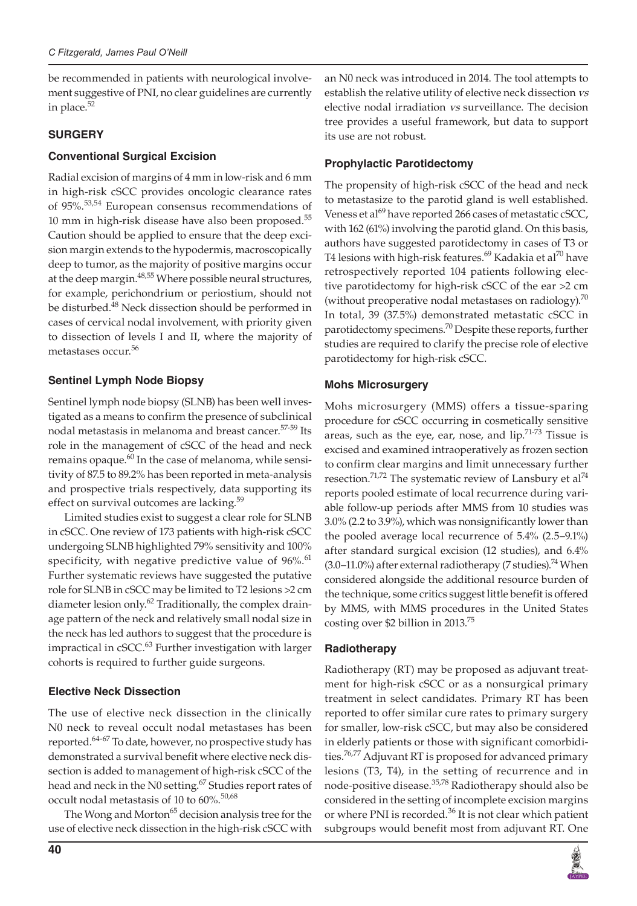be recommended in patients with neurological involvement suggestive of PNI, no clear guidelines are currently in place.<sup>52</sup>

## **SURGERY**

### **Conventional Surgical Excision**

Radial excision of margins of 4 mm in low-risk and 6 mm in high-risk cSCC provides oncologic clearance rates of 95%.<sup>53,54</sup> European consensus recommendations of 10 mm in high-risk disease have also been proposed.<sup>55</sup> Caution should be applied to ensure that the deep excision margin extends to the hypodermis, macroscopically deep to tumor, as the majority of positive margins occur at the deep margin.<sup>48,55</sup> Where possible neural structures, for example, perichondrium or periostium, should not be disturbed.<sup>48</sup> Neck dissection should be performed in cases of cervical nodal involvement, with priority given to dissection of levels I and II, where the majority of metastases occur.<sup>56</sup>

# **Sentinel Lymph Node Biopsy**

Sentinel lymph node biopsy (SLNB) has been well investigated as a means to confirm the presence of subclinical nodal metastasis in melanoma and breast cancer.57-59 Its role in the management of cSCC of the head and neck remains opaque. $60$  In the case of melanoma, while sensitivity of 87.5 to 89.2% has been reported in meta-analysis and prospective trials respectively, data supporting its effect on survival outcomes are lacking.<sup>59</sup>

Limited studies exist to suggest a clear role for SLNB in cSCC. One review of 173 patients with high-risk cSCC undergoing SLNB highlighted 79% sensitivity and 100% specificity, with negative predictive value of  $96\%$ .<sup>61</sup> Further systematic reviews have suggested the putative role for SLNB in cSCC may be limited to T2 lesions >2 cm diameter lesion only.<sup>62</sup> Traditionally, the complex drainage pattern of the neck and relatively small nodal size in the neck has led authors to suggest that the procedure is impractical in cSCC.<sup>63</sup> Further investigation with larger cohorts is required to further guide surgeons.

# **Elective Neck Dissection**

The use of elective neck dissection in the clinically N0 neck to reveal occult nodal metastases has been reported.<sup>64-67</sup> To date, however, no prospective study has demonstrated a survival benefit where elective neck dissection is added to management of high-risk cSCC of the head and neck in the N0 setting.<sup>67</sup> Studies report rates of occult nodal metastasis of 10 to 60%.<sup>50,68</sup>

The Wong and Morton<sup>65</sup> decision analysis tree for the use of elective neck dissection in the high-risk cSCC with an N0 neck was introduced in 2014. The tool attempts to establish the relative utility of elective neck dissection *vs* elective nodal irradiation *vs* surveillance. The decision tree provides a useful framework, but data to support its use are not robust.

# **Prophylactic Parotidectomy**

The propensity of high-risk cSCC of the head and neck to metastasize to the parotid gland is well established. Veness et al<sup>69</sup> have reported 266 cases of metastatic cSCC, with 162 (61%) involving the parotid gland. On this basis, authors have suggested parotidectomy in cases of T3 or T4 lesions with high-risk features.<sup>69</sup> Kadakia et al<sup>70</sup> have retrospectively reported 104 patients following elective parotidectomy for high-risk cSCC of the ear >2 cm (without preoperative nodal metastases on radiology). $70$ In total, 39 (37.5%) demonstrated metastatic cSCC in parotidectomy specimens.<sup>70</sup> Despite these reports, further studies are required to clarify the precise role of elective parotidectomy for high-risk cSCC.

### **Mohs Microsurgery**

Mohs microsurgery (MMS) offers a tissue-sparing procedure for cSCC occurring in cosmetically sensitive areas, such as the eye, ear, nose, and lip.<sup>71-73</sup> Tissue is excised and examined intraoperatively as frozen section to confirm clear margins and limit unnecessary further resection.<sup>71,72</sup> The systematic review of Lansbury et al<sup>74</sup> reports pooled estimate of local recurrence during variable follow-up periods after MMS from 10 studies was 3.0% (2.2 to 3.9%), which was nonsignificantly lower than the pooled average local recurrence of 5.4% (2.5–9.1%) after standard surgical excision (12 studies), and 6.4%  $(3.0-11.0%)$  after external radiotherapy (7 studies).<sup>74</sup> When considered alongside the additional resource burden of the technique, some critics suggest little benefit is offered by MMS, with MMS procedures in the United States costing over \$2 billion in 2013.75

### **Radiotherapy**

Radiotherapy (RT) may be proposed as adjuvant treatment for high-risk cSCC or as a nonsurgical primary treatment in select candidates. Primary RT has been reported to offer similar cure rates to primary surgery for smaller, low-risk cSCC, but may also be considered in elderly patients or those with significant comorbidities.<sup>76,77</sup> Adjuvant RT is proposed for advanced primary lesions (T3, T4), in the setting of recurrence and in node-positive disease.<sup>35,78</sup> Radiotherapy should also be considered in the setting of incomplete excision margins or where PNI is recorded.<sup>36</sup> It is not clear which patient subgroups would benefit most from adjuvant RT. One

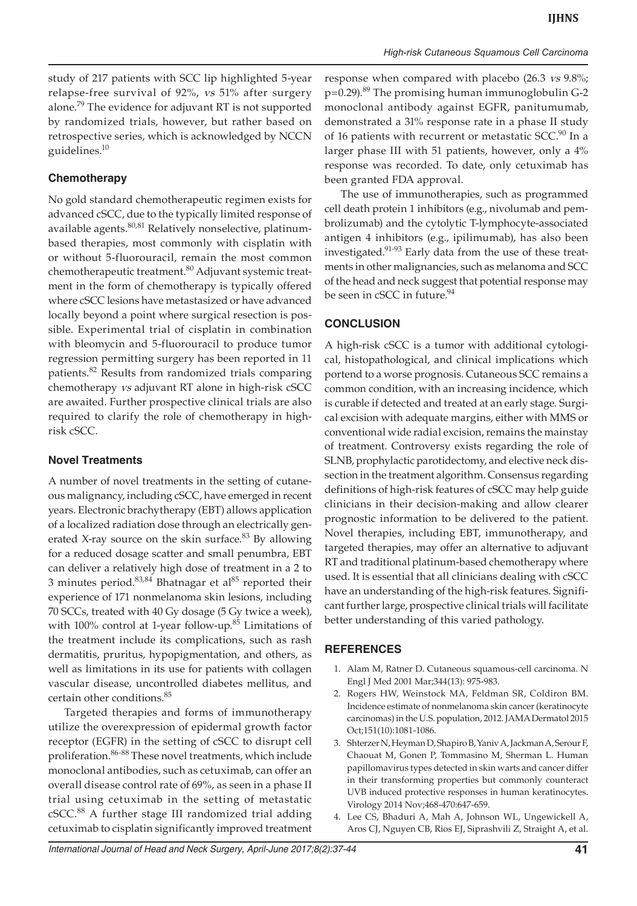study of 217 patients with SCC lip highlighted 5-year relapse-free survival of 92%, *vs* 51% after surgery alone.79 The evidence for adjuvant RT is not supported by randomized trials, however, but rather based on retrospective series, which is acknowledged by NCCN guidelines.10

### **Chemotherapy**

No gold standard chemotherapeutic regimen exists for advanced cSCC, due to the typically limited response of available agents.<sup>80,81</sup> Relatively nonselective, platinumbased therapies, most commonly with cisplatin with or without 5-fluorouracil, remain the most common chemotherapeutic treatment.<sup>80</sup> Adjuvant systemic treatment in the form of chemotherapy is typically offered where cSCC lesions have metastasized or have advanced locally beyond a point where surgical resection is possible. Experimental trial of cisplatin in combination with bleomycin and 5-fluorouracil to produce tumor regression permitting surgery has been reported in 11 patients.82 Results from randomized trials comparing chemotherapy *vs* adjuvant RT alone in high-risk cSCC are awaited. Further prospective clinical trials are also required to clarify the role of chemotherapy in highrisk cSCC.

### **Novel Treatments**

A number of novel treatments in the setting of cutaneous malignancy, including cSCC, have emerged in recent years. Electronic brachytherapy (EBT) allows application of a localized radiation dose through an electrically generated X-ray source on the skin surface. $83$  By allowing for a reduced dosage scatter and small penumbra, EBT can deliver a relatively high dose of treatment in a 2 to 3 minutes period. $83,84$  Bhatnagar et al $85$  reported their experience of 171 nonmelanoma skin lesions, including 70 SCCs, treated with 40 Gy dosage (5 Gy twice a week), with 100% control at 1-year follow-up. $85$  Limitations of the treatment include its complications, such as rash dermatitis, pruritus, hypopigmentation, and others, as well as limitations in its use for patients with collagen vascular disease, uncontrolled diabetes mellitus, and certain other conditions.<sup>85</sup>

Targeted therapies and forms of immunotherapy utilize the overexpression of epidermal growth factor receptor (EGFR) in the setting of cSCC to disrupt cell proliferation.<sup>86-88</sup> These novel treatments, which include monoclonal antibodies, such as cetuximab, can offer an overall disease control rate of 69%, as seen in a phase II trial using cetuximab in the setting of metastatic cSCC.<sup>88</sup> A further stage III randomized trial adding cetuximab to cisplatin significantly improved treatment

response when compared with placebo (26.3 *vs* 9.8%; p=0.29).<sup>89</sup> The promising human immunoglobulin G-2 monoclonal antibody against EGFR, panitumumab, demonstrated a 31% response rate in a phase II study of 16 patients with recurrent or metastatic  $SCC<sup>90</sup>$  In a larger phase III with 51 patients, however, only a 4% response was recorded. To date, only cetuximab has been granted FDA approval.

The use of immunotherapies, such as programmed cell death protein 1 inhibitors (e.g., nivolumab and pembrolizumab) and the cytolytic T-lymphocyte-associated antigen 4 inhibitors (e.g., ipilimumab), has also been investigated.<sup>91-93</sup> Early data from the use of these treatments in other malignancies, such as melanoma and SCC of the head and neck suggest that potential response may be seen in cSCC in future.<sup>94</sup>

### **CONCLUSION**

A high-risk cSCC is a tumor with additional cytological, histopathological, and clinical implications which portend to a worse prognosis. Cutaneous SCC remains a common condition, with an increasing incidence, which is curable if detected and treated at an early stage. Surgical excision with adequate margins, either with MMS or conventional wide radial excision, remains the mainstay of treatment. Controversy exists regarding the role of SLNB, prophylactic parotidectomy, and elective neck dissection in the treatment algorithm. Consensus regarding definitions of high-risk features of cSCC may help guide clinicians in their decision-making and allow clearer prognostic information to be delivered to the patient. Novel therapies, including EBT, immunotherapy, and targeted therapies, may offer an alternative to adjuvant RT and traditional platinum-based chemotherapy where used. It is essential that all clinicians dealing with cSCC have an understanding of the high-risk features. Significant further large, prospective clinical trials will facilitate better understanding of this varied pathology.

### **REFERENCES**

- 1. Alam M, Ratner D. Cutaneous squamous-cell carcinoma. N Engl J Med 2001 Mar;344(13): 975-983.
- 2. Rogers HW, Weinstock MA, Feldman SR, Coldiron BM. Incidence estimate of nonmelanoma skin cancer (keratinocyte carcinomas) in the U.S. population, 2012. JAMA Dermatol 2015 Oct;151(10):1081-1086.
- 3. Shterzer N, Heyman D, Shapiro B, Yaniv A, Jackman A, Serour F, Chaouat M, Gonen P, Tommasino M, Sherman L. Human papillomavirus types detected in skin warts and cancer differ in their transforming properties but commonly counteract UVB induced protective responses in human keratinocytes. Virology 2014 Nov;468-470:647-659.
- 4. Lee CS, Bhaduri A, Mah A, Johnson WL, Ungewickell A, Aros CJ, Nguyen CB, Rios EJ, Siprashvili Z, Straight A, et al.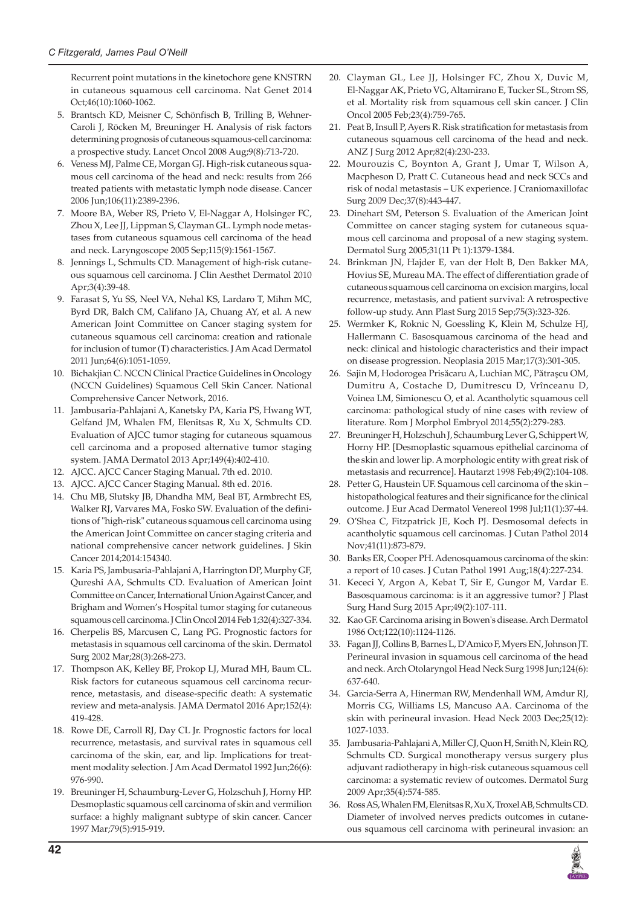Recurrent point mutations in the kinetochore gene KNSTRN in cutaneous squamous cell carcinoma. Nat Genet 2014 Oct;46(10):1060-1062.

- 5. Brantsch KD, Meisner C, Schönfisch B, Trilling B, Wehner-Caroli J, Röcken M, Breuninger H. Analysis of risk factors determining prognosis of cutaneous squamous-cell carcinoma: a prospective study. Lancet Oncol 2008 Aug;9(8):713-720.
- 6. Veness MJ, Palme CE, Morgan GJ. High-risk cutaneous squamous cell carcinoma of the head and neck: results from 266 treated patients with metastatic lymph node disease. Cancer 2006 Jun;106(11):2389-2396.
- 7. Moore BA, Weber RS, Prieto V, El-Naggar A, Holsinger FC, Zhou X, Lee JJ, Lippman S, Clayman GL. Lymph node metastases from cutaneous squamous cell carcinoma of the head and neck. Laryngoscope 2005 Sep;115(9):1561-1567.
- 8. Jennings L, Schmults CD. Management of high-risk cutaneous squamous cell carcinoma. J Clin Aesthet Dermatol 2010 Apr;3(4):39-48.
- 9. Farasat S, Yu SS, Neel VA, Nehal KS, Lardaro T, Mihm MC, Byrd DR, Balch CM, Califano JA, Chuang AY, et al. A new American Joint Committee on Cancer staging system for cutaneous squamous cell carcinoma: creation and rationale for inclusion of tumor (T) characteristics. J Am Acad Dermatol 2011 Jun;64(6):1051-1059.
- 10. Bichakjian C. NCCN Clinical Practice Guidelines in Oncology (NCCN Guidelines) Squamous Cell Skin Cancer. National Comprehensive Cancer Network, 2016.
- 11. Jambusaria-Pahlajani A, Kanetsky PA, Karia PS, Hwang WT, Gelfand JM, Whalen FM, Elenitsas R, Xu X, Schmults CD. Evaluation of AJCC tumor staging for cutaneous squamous cell carcinoma and a proposed alternative tumor staging system. JAMA Dermatol 2013 Apr;149(4):402-410.
- 12. AJCC. AJCC Cancer Staging Manual. 7th ed. 2010.
- 13. AJCC. AJCC Cancer Staging Manual. 8th ed. 2016.
- 14. Chu MB, Slutsky JB, Dhandha MM, Beal BT, Armbrecht ES, Walker RJ, Varvares MA, Fosko SW. Evaluation of the definitions of "high-risk" cutaneous squamous cell carcinoma using the American Joint Committee on cancer staging criteria and national comprehensive cancer network guidelines. J Skin Cancer 2014;2014:154340.
- 15. Karia PS, Jambusaria-Pahlajani A, Harrington DP, Murphy GF, Qureshi AA, Schmults CD. Evaluation of American Joint Committee on Cancer, International Union Against Cancer, and Brigham and Women's Hospital tumor staging for cutaneous squamous cell carcinoma. J Clin Oncol 2014 Feb 1;32(4):327-334.
- 16. Cherpelis BS, Marcusen C, Lang PG. Prognostic factors for metastasis in squamous cell carcinoma of the skin. Dermatol Surg 2002 Mar;28(3):268-273.
- 17. Thompson AK, Kelley BF, Prokop LJ, Murad MH, Baum CL. Risk factors for cutaneous squamous cell carcinoma recurrence, metastasis, and disease-specific death: A systematic review and meta-analysis. JAMA Dermatol 2016 Apr;152(4): 419-428.
- 18. Rowe DE, Carroll RJ, Day CL Jr. Prognostic factors for local recurrence, metastasis, and survival rates in squamous cell carcinoma of the skin, ear, and lip. Implications for treatment modality selection. J Am Acad Dermatol 1992 Jun;26(6): 976-990.
- 19. Breuninger H, Schaumburg-Lever G, Holzschuh J, Horny HP. Desmoplastic squamous cell carcinoma of skin and vermilion surface: a highly malignant subtype of skin cancer. Cancer 1997 Mar;79(5):915-919.
- 20. Clayman GL, Lee JJ, Holsinger FC, Zhou X, Duvic M, El-Naggar AK, Prieto VG, Altamirano E, Tucker SL, Strom SS, et al. Mortality risk from squamous cell skin cancer. J Clin Oncol 2005 Feb;23(4):759-765.
- 21. Peat B, Insull P, Ayers R. Risk stratification for metastasis from cutaneous squamous cell carcinoma of the head and neck. ANZ J Surg 2012 Apr;82(4):230-233.
- 22. Mourouzis C, Boynton A, Grant J, Umar T, Wilson A, Macpheson D, Pratt C. Cutaneous head and neck SCCs and risk of nodal metastasis – UK experience. J Craniomaxillofac Surg 2009 Dec;37(8):443-447.
- 23. Dinehart SM, Peterson S. Evaluation of the American Joint Committee on cancer staging system for cutaneous squamous cell carcinoma and proposal of a new staging system. Dermatol Surg 2005;31(11 Pt 1):1379-1384.
- 24. Brinkman JN, Hajder E, van der Holt B, Den Bakker MA, Hovius SE, Mureau MA. The effect of differentiation grade of cutaneous squamous cell carcinoma on excision margins, local recurrence, metastasis, and patient survival: A retrospective follow-up study. Ann Plast Surg 2015 Sep;75(3):323-326.
- 25. Wermker K, Roknic N, Goessling K, Klein M, Schulze HJ, Hallermann C. Basosquamous carcinoma of the head and neck: clinical and histologic characteristics and their impact on disease progression. Neoplasia 2015 Mar;17(3):301-305.
- 26. Sajin M, Hodorogea Prisăcaru A, Luchian MC, Pătraşcu OM, Dumitru A, Costache D, Dumitrescu D, Vrînceanu D, Voinea LM, Simionescu O, et al. Acantholytic squamous cell carcinoma: pathological study of nine cases with review of literature. Rom J Morphol Embryol 2014;55(2):279-283.
- 27. Breuninger H, Holzschuh J, Schaumburg Lever G, Schippert W, Horny HP. [Desmoplastic squamous epithelial carcinoma of the skin and lower lip. A morphologic entity with great risk of metastasis and recurrence]. Hautarzt 1998 Feb;49(2):104-108.
- 28. Petter G, Haustein UF. Squamous cell carcinoma of the skin histopathological features and their significance for the clinical outcome. J Eur Acad Dermatol Venereol 1998 Jul;11(1):37-44.
- 29. O'Shea C, Fitzpatrick JE, Koch PJ. Desmosomal defects in acantholytic squamous cell carcinomas. J Cutan Pathol 2014 Nov;41(11):873-879.
- 30. Banks ER, Cooper PH. Adenosquamous carcinoma of the skin: a report of 10 cases. J Cutan Pathol 1991 Aug;18(4):227-234.
- 31. Kececi Y, Argon A, Kebat T, Sir E, Gungor M, Vardar E. Basosquamous carcinoma: is it an aggressive tumor? J Plast Surg Hand Surg 2015 Apr;49(2):107-111.
- 32. Kao GF. Carcinoma arising in Bowen's disease. Arch Dermatol 1986 Oct;122(10):1124-1126.
- 33. Fagan JJ, Collins B, Barnes L, D'Amico F, Myers EN, Johnson JT. Perineural invasion in squamous cell carcinoma of the head and neck. Arch Otolaryngol Head Neck Surg 1998 Jun;124(6): 637-640.
- 34. Garcia-Serra A, Hinerman RW, Mendenhall WM, Amdur RJ, Morris CG, Williams LS, Mancuso AA. Carcinoma of the skin with perineural invasion. Head Neck 2003 Dec;25(12): 1027-1033.
- 35. Jambusaria-Pahlajani A, Miller CJ, Quon H, Smith N, Klein RQ, Schmults CD. Surgical monotherapy versus surgery plus adjuvant radiotherapy in high-risk cutaneous squamous cell carcinoma: a systematic review of outcomes. Dermatol Surg 2009 Apr;35(4):574-585.
- 36. Ross AS, Whalen FM, Elenitsas R, Xu X, Troxel AB, Schmults CD. Diameter of involved nerves predicts outcomes in cutaneous squamous cell carcinoma with perineural invasion: an

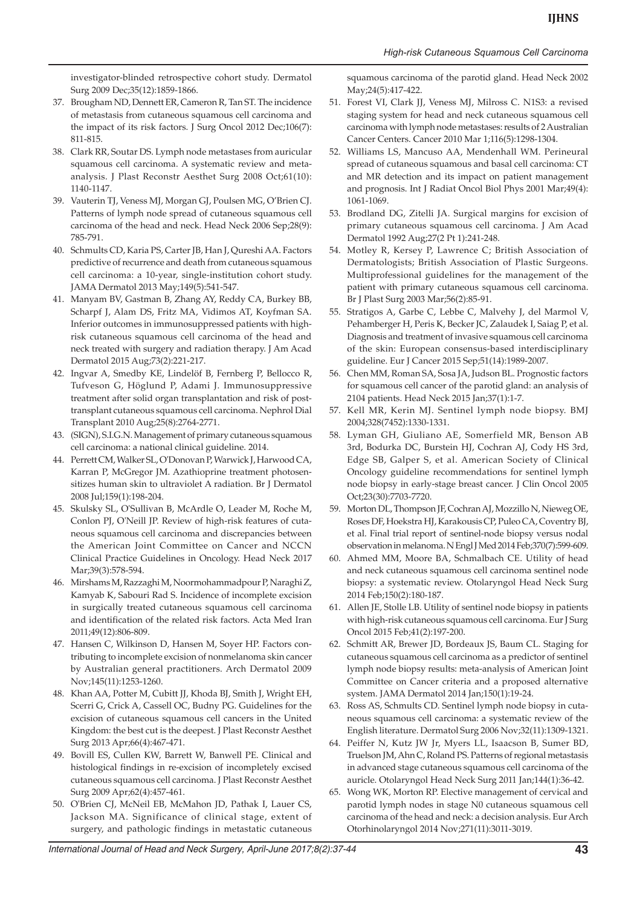investigator-blinded retrospective cohort study. Dermatol Surg 2009 Dec;35(12):1859-1866.

- 37. Brougham ND, Dennett ER, Cameron R, Tan ST. The incidence of metastasis from cutaneous squamous cell carcinoma and the impact of its risk factors. J Surg Oncol 2012 Dec;106(7): 811-815.
- 38. Clark RR, Soutar DS. Lymph node metastases from auricular squamous cell carcinoma. A systematic review and metaanalysis. J Plast Reconstr Aesthet Surg 2008 Oct;61(10): 1140-1147.
- 39. Vauterin TJ, Veness MJ, Morgan GJ, Poulsen MG, O'Brien CJ. Patterns of lymph node spread of cutaneous squamous cell carcinoma of the head and neck. Head Neck 2006 Sep;28(9): 785-791.
- 40. Schmults CD, Karia PS, Carter JB, Han J, Qureshi AA. Factors predictive of recurrence and death from cutaneous squamous cell carcinoma: a 10-year, single-institution cohort study. JAMA Dermatol 2013 May;149(5):541-547.
- 41. Manyam BV, Gastman B, Zhang AY, Reddy CA, Burkey BB, Scharpf J, Alam DS, Fritz MA, Vidimos AT, Koyfman SA. Inferior outcomes in immunosuppressed patients with highrisk cutaneous squamous cell carcinoma of the head and neck treated with surgery and radiation therapy. J Am Acad Dermatol 2015 Aug;73(2):221-217.
- 42. Ingvar A, Smedby KE, Lindelöf B, Fernberg P, Bellocco R, Tufveson G, Höglund P, Adami J. Immunosuppressive treatment after solid organ transplantation and risk of posttransplant cutaneous squamous cell carcinoma. Nephrol Dial Transplant 2010 Aug;25(8):2764-2771.
- 43. (SIGN), S.I.G.N. Management of primary cutaneous squamous cell carcinoma: a national clinical guideline. 2014.
- 44. Perrett CM, Walker SL, O'Donovan P, Warwick J, Harwood CA, Karran P, McGregor JM. Azathioprine treatment photosensitizes human skin to ultraviolet A radiation. Br J Dermatol 2008 Jul;159(1):198-204.
- 45. Skulsky SL, O'Sullivan B, McArdle O, Leader M, Roche M, Conlon PJ, O'Neill JP. Review of high-risk features of cutaneous squamous cell carcinoma and discrepancies between the American Joint Committee on Cancer and NCCN Clinical Practice Guidelines in Oncology. Head Neck 2017 Mar;39(3):578-594.
- 46. Mirshams M, Razzaghi M, Noormohammadpour P, Naraghi Z, Kamyab K, Sabouri Rad S. Incidence of incomplete excision in surgically treated cutaneous squamous cell carcinoma and identification of the related risk factors. Acta Med Iran 2011;49(12):806-809.
- 47. Hansen C, Wilkinson D, Hansen M, Soyer HP. Factors contributing to incomplete excision of nonmelanoma skin cancer by Australian general practitioners. Arch Dermatol 2009 Nov;145(11):1253-1260.
- 48. Khan AA, Potter M, Cubitt JJ, Khoda BJ, Smith J, Wright EH, Scerri G, Crick A, Cassell OC, Budny PG. Guidelines for the excision of cutaneous squamous cell cancers in the United Kingdom: the best cut is the deepest. J Plast Reconstr Aesthet Surg 2013 Apr;66(4):467-471.
- 49. Bovill ES, Cullen KW, Barrett W, Banwell PE. Clinical and histological findings in re-excision of incompletely excised cutaneous squamous cell carcinoma. J Plast Reconstr Aesthet Surg 2009 Apr;62(4):457-461.
- 50. O'Brien CJ, McNeil EB, McMahon JD, Pathak I, Lauer CS, Jackson MA. Significance of clinical stage, extent of surgery, and pathologic findings in metastatic cutaneous

squamous carcinoma of the parotid gland. Head Neck 2002 May;24(5):417-422.

- 51. Forest VI, Clark JJ, Veness MJ, Milross C. N1S3: a revised staging system for head and neck cutaneous squamous cell carcinoma with lymph node metastases: results of 2 Australian Cancer Centers. Cancer 2010 Mar 1;116(5):1298-1304.
- 52. Williams LS, Mancuso AA, Mendenhall WM. Perineural spread of cutaneous squamous and basal cell carcinoma: CT and MR detection and its impact on patient management and prognosis. Int J Radiat Oncol Biol Phys 2001 Mar;49(4): 1061-1069.
- 53. Brodland DG, Zitelli JA. Surgical margins for excision of primary cutaneous squamous cell carcinoma. J Am Acad Dermatol 1992 Aug;27(2 Pt 1):241-248.
- 54. Motley R, Kersey P, Lawrence C; British Association of Dermatologists; British Association of Plastic Surgeons. Multiprofessional guidelines for the management of the patient with primary cutaneous squamous cell carcinoma. Br J Plast Surg 2003 Mar;56(2):85-91.
- 55. Stratigos A, Garbe C, Lebbe C, Malvehy J, del Marmol V, Pehamberger H, Peris K, Becker JC, Zalaudek I, Saiag P, et al. Diagnosis and treatment of invasive squamous cell carcinoma of the skin: European consensus-based interdisciplinary guideline. Eur J Cancer 2015 Sep;51(14):1989-2007.
- 56. Chen MM, Roman SA, Sosa JA, Judson BL. Prognostic factors for squamous cell cancer of the parotid gland: an analysis of 2104 patients. Head Neck 2015 Jan;37(1):1-7.
- 57. Kell MR, Kerin MJ. Sentinel lymph node biopsy. BMJ 2004;328(7452):1330-1331.
- 58. Lyman GH, Giuliano AE, Somerfield MR, Benson AB 3rd, Bodurka DC, Burstein HJ, Cochran AJ, Cody HS 3rd, Edge SB, Galper S, et al. American Society of Clinical Oncology guideline recommendations for sentinel lymph node biopsy in early-stage breast cancer. J Clin Oncol 2005 Oct;23(30):7703-7720.
- 59. Morton DL, Thompson JF, Cochran AJ, Mozzillo N, Nieweg OE, Roses DF, Hoekstra HJ, Karakousis CP, Puleo CA, Coventry BJ, et al. Final trial report of sentinel-node biopsy versus nodal observation in melanoma. N Engl J Med 2014 Feb;370(7):599-609.
- 60. Ahmed MM, Moore BA, Schmalbach CE. Utility of head and neck cutaneous squamous cell carcinoma sentinel node biopsy: a systematic review. Otolaryngol Head Neck Surg 2014 Feb;150(2):180-187.
- 61. Allen JE, Stolle LB. Utility of sentinel node biopsy in patients with high-risk cutaneous squamous cell carcinoma. Eur J Surg Oncol 2015 Feb;41(2):197-200.
- 62. Schmitt AR, Brewer JD, Bordeaux JS, Baum CL. Staging for cutaneous squamous cell carcinoma as a predictor of sentinel lymph node biopsy results: meta-analysis of American Joint Committee on Cancer criteria and a proposed alternative system. JAMA Dermatol 2014 Jan;150(1):19-24.
- 63. Ross AS, Schmults CD. Sentinel lymph node biopsy in cutaneous squamous cell carcinoma: a systematic review of the English literature. Dermatol Surg 2006 Nov;32(11):1309-1321.
- 64. Peiffer N, Kutz JW Jr, Myers LL, Isaacson B, Sumer BD, Truelson JM, Ahn C, Roland PS. Patterns of regional metastasis in advanced stage cutaneous squamous cell carcinoma of the auricle. Otolaryngol Head Neck Surg 2011 Jan;144(1):36-42.
- 65. Wong WK, Morton RP. Elective management of cervical and parotid lymph nodes in stage N0 cutaneous squamous cell carcinoma of the head and neck: a decision analysis. Eur Arch Otorhinolaryngol 2014 Nov;271(11):3011-3019.